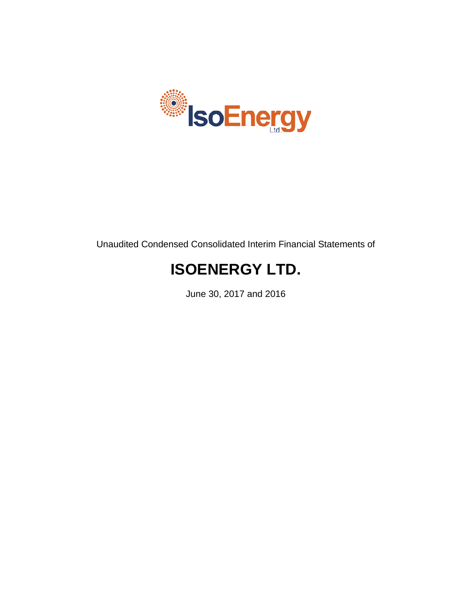

Unaudited Condensed Consolidated Interim Financial Statements of

# **ISOENERGY LTD.**

June 30, 2017 and 2016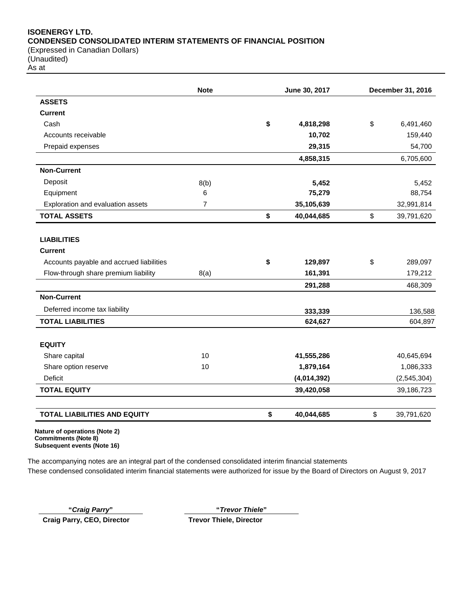#### **ISOENERGY LTD. CONDENSED CONSOLIDATED INTERIM STATEMENTS OF FINANCIAL POSITION** (Expressed in Canadian Dollars)

(Unaudited)

As at

|                                          | <b>Note</b>    | June 30, 2017    | December 31, 2016 |
|------------------------------------------|----------------|------------------|-------------------|
| <b>ASSETS</b>                            |                |                  |                   |
| <b>Current</b>                           |                |                  |                   |
| Cash                                     |                | \$<br>4,818,298  | \$<br>6,491,460   |
| Accounts receivable                      |                | 10,702           | 159,440           |
| Prepaid expenses                         |                | 29,315           | 54,700            |
|                                          |                | 4,858,315        | 6,705,600         |
| <b>Non-Current</b>                       |                |                  |                   |
| Deposit                                  | 8(b)           | 5,452            | 5,452             |
| Equipment                                | 6              | 75,279           | 88,754            |
| Exploration and evaluation assets        | $\overline{7}$ | 35,105,639       | 32,991,814        |
| <b>TOTAL ASSETS</b>                      |                | \$<br>40,044,685 | \$<br>39,791,620  |
| <b>LIABILITIES</b>                       |                |                  |                   |
| <b>Current</b>                           |                |                  |                   |
| Accounts payable and accrued liabilities |                | \$<br>129,897    | \$<br>289,097     |
| Flow-through share premium liability     | 8(a)           | 161,391          | 179,212           |
|                                          |                | 291,288          | 468,309           |
| <b>Non-Current</b>                       |                |                  |                   |
| Deferred income tax liability            |                | 333,339          | 136,588           |
| <b>TOTAL LIABILITIES</b>                 |                | 624,627          | 604,897           |
| <b>EQUITY</b>                            |                |                  |                   |
| Share capital                            | 10             | 41,555,286       | 40,645,694        |
| Share option reserve                     | 10             | 1,879,164        | 1,086,333         |
| <b>Deficit</b>                           |                | (4,014,392)      | (2, 545, 304)     |
| <b>TOTAL EQUITY</b>                      |                | 39,420,058       | 39,186,723        |
| <b>TOTAL LIABILITIES AND EQUITY</b>      |                | \$<br>40,044,685 | \$<br>39,791,620  |

**Commitments (Note 8) Subsequent events (Note 16)**

The accompanying notes are an integral part of the condensed consolidated interim financial statements These condensed consolidated interim financial statements were authorized for issue by the Board of Directors on August 9, 2017

**"***Craig Parry***" "***Trevor Thiele***" Craig Parry, CEO, Director Trevor Thiele, Director**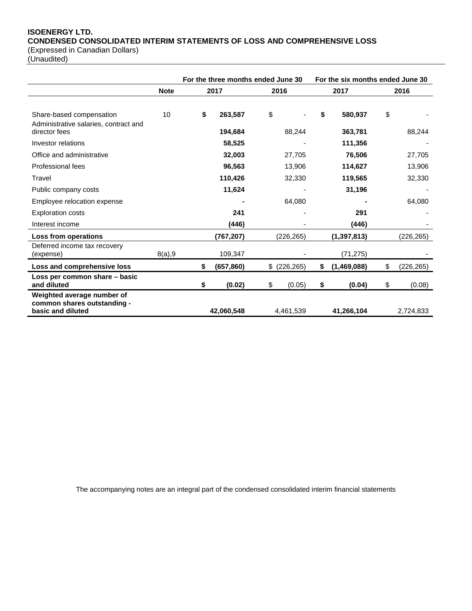# **ISOENERGY LTD. CONDENSED CONSOLIDATED INTERIM STATEMENTS OF LOSS AND COMPREHENSIVE LOSS**

(Expressed in Canadian Dollars)

(Unaudited)

|                                                  |             | For the three months ended June 30 |            |    |               | For the six months ended June 30 |               |    |            |
|--------------------------------------------------|-------------|------------------------------------|------------|----|---------------|----------------------------------|---------------|----|------------|
|                                                  | <b>Note</b> |                                    | 2017       |    | 2016          | 2017                             |               |    | 2016       |
|                                                  |             |                                    |            |    |               |                                  |               |    |            |
| Share-based compensation                         | 10          | \$                                 | 263,587    | \$ |               | \$                               | 580,937       | \$ |            |
| Administrative salaries, contract and            |             |                                    |            |    |               |                                  |               |    |            |
| director fees                                    |             |                                    | 194,684    |    | 88,244        |                                  | 363,781       |    | 88,244     |
| Investor relations                               |             |                                    | 58,525     |    |               |                                  | 111,356       |    |            |
| Office and administrative                        |             |                                    | 32,003     |    | 27,705        |                                  | 76,506        |    | 27,705     |
| Professional fees                                |             |                                    | 96,563     |    | 13,906        |                                  | 114,627       |    | 13,906     |
| Travel                                           |             |                                    | 110,426    |    | 32,330        |                                  | 119,565       |    | 32,330     |
| Public company costs                             |             |                                    | 11,624     |    |               |                                  | 31,196        |    |            |
| Employee relocation expense                      |             |                                    |            |    | 64,080        |                                  |               |    | 64,080     |
| <b>Exploration costs</b>                         |             |                                    | 241        |    |               |                                  | 291           |    |            |
| Interest income                                  |             |                                    | (446)      |    |               |                                  | (446)         |    |            |
| Loss from operations                             |             |                                    | (767, 207) |    | (226, 265)    |                                  | (1, 397, 813) |    | (226, 265) |
| Deferred income tax recovery                     |             |                                    |            |    |               |                                  |               |    |            |
| (expense)                                        | 8(a), 9     |                                    | 109,347    |    |               |                                  | (71, 275)     |    |            |
| Loss and comprehensive loss                      |             | \$                                 | (657, 860) |    | $$$ (226,265) | \$                               | (1,469,088)   | \$ | (226, 265) |
| Loss per common share - basic                    |             |                                    |            |    |               |                                  |               |    |            |
| and diluted                                      |             | \$                                 | (0.02)     | \$ | (0.05)        | \$                               | (0.04)        | \$ | (0.08)     |
| Weighted average number of                       |             |                                    |            |    |               |                                  |               |    |            |
| common shares outstanding -<br>basic and diluted |             |                                    | 42,060,548 |    | 4,461,539     |                                  | 41,266,104    |    | 2,724,833  |

The accompanying notes are an integral part of the condensed consolidated interim financial statements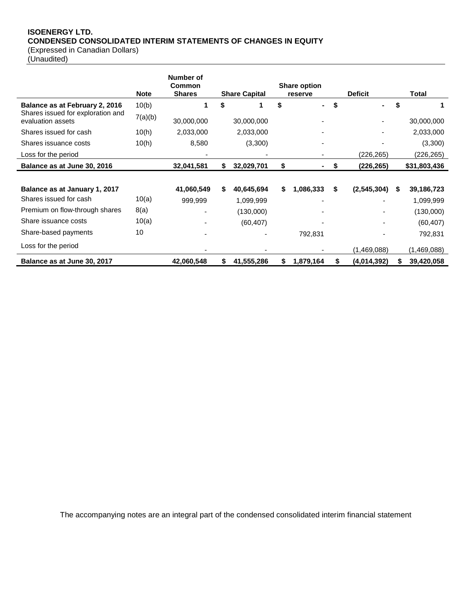# **ISOENERGY LTD. CONDENSED CONSOLIDATED INTERIM STATEMENTS OF CHANGES IN EQUITY** (Expressed in Canadian Dollars)

(Unaudited)

|                                                        | <b>Note</b> | Number of<br>Common<br><b>Shares</b> |    | <b>Share Capital</b> |    | <b>Share option</b><br>reserve |    | <b>Deficit</b> |   | <b>Total</b> |
|--------------------------------------------------------|-------------|--------------------------------------|----|----------------------|----|--------------------------------|----|----------------|---|--------------|
| Balance as at February 2, 2016                         | 10(b)       | 1                                    | \$ |                      | \$ | $\blacksquare$                 | \$ |                | S |              |
| Shares issued for exploration and<br>evaluation assets | 7(a)(b)     | 30,000,000                           |    | 30,000,000           |    |                                |    |                |   | 30,000,000   |
| Shares issued for cash                                 | 10(h)       | 2,033,000                            |    | 2,033,000            |    |                                |    |                |   | 2,033,000    |
| Shares issuance costs                                  | 10(h)       | 8,580                                |    | (3,300)              |    |                                |    |                |   | (3,300)      |
| Loss for the period                                    |             |                                      |    |                      |    |                                |    | (226,265)      |   | (226, 265)   |
| Balance as at June 30, 2016                            |             | 32,041,581                           | S. | 32,029,701           | \$ |                                | S  | (226,265)      |   | \$31,803,436 |
|                                                        |             |                                      |    |                      |    |                                |    |                |   |              |
| Balance as at January 1, 2017                          |             | 41,060,549                           | \$ | 40,645,694           | \$ | 1,086,333                      | S  | (2, 545, 304)  | S | 39,186,723   |
| Shares issued for cash                                 | 10(a)       | 999,999                              |    | 1,099,999            |    |                                |    |                |   | 1,099,999    |
| Premium on flow-through shares                         | 8(a)        |                                      |    | (130,000)            |    |                                |    |                |   | (130,000)    |
| Share issuance costs                                   | 10(a)       |                                      |    | (60, 407)            |    |                                |    |                |   | (60, 407)    |
| Share-based payments                                   | 10          |                                      |    |                      |    | 792,831                        |    |                |   | 792,831      |
| Loss for the period                                    |             |                                      |    |                      |    |                                |    | (1,469,088)    |   | (1,469,088)  |
| Balance as at June 30, 2017                            |             | 42,060,548                           |    | 41,555,286           | S. | 1,879,164                      |    | (4,014,392)    |   | 39,420,058   |

The accompanying notes are an integral part of the condensed consolidated interim financial statement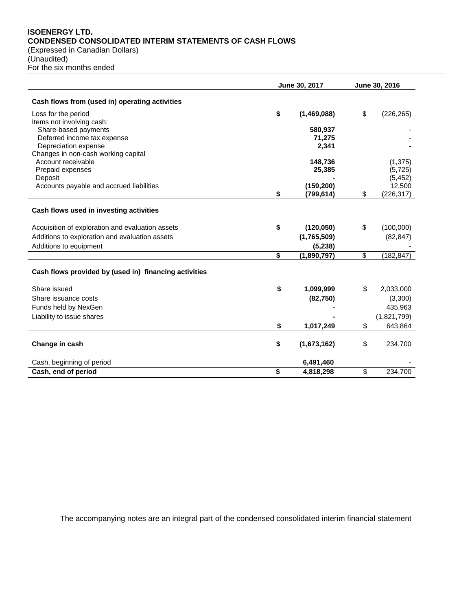#### **ISOENERGY LTD. CONDENSED CONSOLIDATED INTERIM STATEMENTS OF CASH FLOWS** (Expressed in Canadian Dollars)

(Unaudited)

For the six months ended

|                                                           | June 30, 2017 |             |                          | June 30, 2016        |
|-----------------------------------------------------------|---------------|-------------|--------------------------|----------------------|
| Cash flows from (used in) operating activities            |               |             |                          |                      |
| Loss for the period                                       | \$            | (1,469,088) | \$                       | (226, 265)           |
| Items not involving cash:                                 |               |             |                          |                      |
| Share-based payments                                      |               | 580,937     |                          |                      |
| Deferred income tax expense                               |               | 71,275      |                          |                      |
| Depreciation expense                                      |               | 2,341       |                          |                      |
| Changes in non-cash working capital<br>Account receivable |               | 148,736     |                          |                      |
| Prepaid expenses                                          |               | 25,385      |                          | (1, 375)<br>(5, 725) |
| Deposit                                                   |               |             |                          | (5, 452)             |
| Accounts payable and accrued liabilities                  |               | (159, 200)  |                          | 12,500               |
|                                                           | \$            | (799,614)   | \$                       | (226, 317)           |
| Cash flows used in investing activities                   |               |             |                          |                      |
| Acquisition of exploration and evaluation assets          | \$            | (120, 050)  | \$                       | (100,000)            |
| Additions to exploration and evaluation assets            |               | (1,765,509) |                          | (82, 847)            |
| Additions to equipment                                    |               | (5, 238)    |                          |                      |
|                                                           | \$            | (1,890,797) | \$                       | (182, 847)           |
| Cash flows provided by (used in) financing activities     |               |             |                          |                      |
| Share issued                                              | \$            | 1,099,999   | \$                       | 2,033,000            |
| Share issuance costs                                      |               | (82, 750)   |                          | (3,300)              |
| Funds held by NexGen                                      |               |             |                          | 435,963              |
| Liability to issue shares                                 |               |             |                          | (1,821,799)          |
|                                                           | \$            | 1,017,249   | \$                       | 643,864              |
| Change in cash                                            | \$            | (1,673,162) | \$                       | 234,700              |
| Cash, beginning of period                                 |               | 6,491,460   |                          |                      |
| Cash, end of period                                       | \$            | 4,818,298   | $\overline{\mathcal{S}}$ | 234,700              |

The accompanying notes are an integral part of the condensed consolidated interim financial statement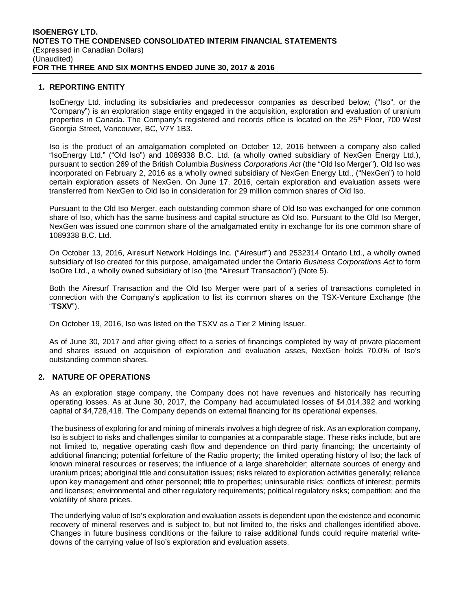#### **1. REPORTING ENTITY**

IsoEnergy Ltd. including its subsidiaries and predecessor companies as described below, ("Iso", or the "Company") is an exploration stage entity engaged in the acquisition, exploration and evaluation of uranium properties in Canada. The Company's registered and records office is located on the 25<sup>th</sup> Floor, 700 West Georgia Street, Vancouver, BC, V7Y 1B3.

Iso is the product of an amalgamation completed on October 12, 2016 between a company also called "IsoEnergy Ltd." ("Old Iso") and 1089338 B.C. Ltd. (a wholly owned subsidiary of NexGen Energy Ltd.), pursuant to section 269 of the British Columbia *Business Corporations Act* (the "Old Iso Merger"). Old Iso was incorporated on February 2, 2016 as a wholly owned subsidiary of NexGen Energy Ltd., ("NexGen") to hold certain exploration assets of NexGen. On June 17, 2016, certain exploration and evaluation assets were transferred from NexGen to Old Iso in consideration for 29 million common shares of Old Iso.

Pursuant to the Old Iso Merger, each outstanding common share of Old Iso was exchanged for one common share of Iso, which has the same business and capital structure as Old Iso. Pursuant to the Old Iso Merger, NexGen was issued one common share of the amalgamated entity in exchange for its one common share of 1089338 B.C. Ltd.

On October 13, 2016, Airesurf Network Holdings Inc. ("Airesurf") and 2532314 Ontario Ltd., a wholly owned subsidiary of Iso created for this purpose, amalgamated under the Ontario *Business Corporations Act* to form IsoOre Ltd., a wholly owned subsidiary of Iso (the "Airesurf Transaction") (Note 5).

Both the Airesurf Transaction and the Old Iso Merger were part of a series of transactions completed in connection with the Company's application to list its common shares on the TSX-Venture Exchange (the "**TSXV**").

On October 19, 2016, Iso was listed on the TSXV as a Tier 2 Mining Issuer.

As of June 30, 2017 and after giving effect to a series of financings completed by way of private placement and shares issued on acquisition of exploration and evaluation asses, NexGen holds 70.0% of Iso's outstanding common shares.

#### **2. NATURE OF OPERATIONS**

As an exploration stage company, the Company does not have revenues and historically has recurring operating losses. As at June 30, 2017, the Company had accumulated losses of \$4,014,392 and working capital of \$4,728,418. The Company depends on external financing for its operational expenses.

The business of exploring for and mining of minerals involves a high degree of risk. As an exploration company, Iso is subject to risks and challenges similar to companies at a comparable stage. These risks include, but are not limited to, negative operating cash flow and dependence on third party financing; the uncertainty of additional financing; potential forfeiture of the Radio property; the limited operating history of Iso; the lack of known mineral resources or reserves; the influence of a large shareholder; alternate sources of energy and uranium prices; aboriginal title and consultation issues; risks related to exploration activities generally; reliance upon key management and other personnel; title to properties; uninsurable risks; conflicts of interest; permits and licenses; environmental and other regulatory requirements; political regulatory risks; competition; and the volatility of share prices.

The underlying value of Iso's exploration and evaluation assets is dependent upon the existence and economic recovery of mineral reserves and is subject to, but not limited to, the risks and challenges identified above. Changes in future business conditions or the failure to raise additional funds could require material writedowns of the carrying value of Iso's exploration and evaluation assets.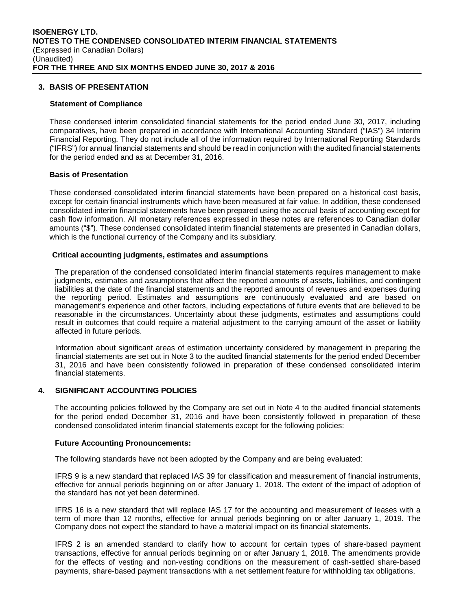#### **3. BASIS OF PRESENTATION**

#### **Statement of Compliance**

These condensed interim consolidated financial statements for the period ended June 30, 2017, including comparatives, have been prepared in accordance with International Accounting Standard ("IAS") 34 Interim Financial Reporting. They do not include all of the information required by International Reporting Standards ("IFRS") for annual financial statements and should be read in conjunction with the audited financial statements for the period ended and as at December 31, 2016.

#### **Basis of Presentation**

These condensed consolidated interim financial statements have been prepared on a historical cost basis, except for certain financial instruments which have been measured at fair value. In addition, these condensed consolidated interim financial statements have been prepared using the accrual basis of accounting except for cash flow information. All monetary references expressed in these notes are references to Canadian dollar amounts ("\$"). These condensed consolidated interim financial statements are presented in Canadian dollars, which is the functional currency of the Company and its subsidiary.

#### **Critical accounting judgments, estimates and assumptions**

The preparation of the condensed consolidated interim financial statements requires management to make judgments, estimates and assumptions that affect the reported amounts of assets, liabilities, and contingent liabilities at the date of the financial statements and the reported amounts of revenues and expenses during the reporting period. Estimates and assumptions are continuously evaluated and are based on management's experience and other factors, including expectations of future events that are believed to be reasonable in the circumstances. Uncertainty about these judgments, estimates and assumptions could result in outcomes that could require a material adjustment to the carrying amount of the asset or liability affected in future periods.

Information about significant areas of estimation uncertainty considered by management in preparing the financial statements are set out in Note 3 to the audited financial statements for the period ended December 31, 2016 and have been consistently followed in preparation of these condensed consolidated interim financial statements.

#### **4. SIGNIFICANT ACCOUNTING POLICIES**

The accounting policies followed by the Company are set out in Note 4 to the audited financial statements for the period ended December 31, 2016 and have been consistently followed in preparation of these condensed consolidated interim financial statements except for the following policies:

#### **Future Accounting Pronouncements:**

The following standards have not been adopted by the Company and are being evaluated:

IFRS 9 is a new standard that replaced IAS 39 for classification and measurement of financial instruments, effective for annual periods beginning on or after January 1, 2018. The extent of the impact of adoption of the standard has not yet been determined.

IFRS 16 is a new standard that will replace IAS 17 for the accounting and measurement of leases with a term of more than 12 months, effective for annual periods beginning on or after January 1, 2019. The Company does not expect the standard to have a material impact on its financial statements.

IFRS 2 is an amended standard to clarify how to account for certain types of share-based payment transactions, effective for annual periods beginning on or after January 1, 2018. The amendments provide for the effects of vesting and non-vesting conditions on the measurement of cash-settled share-based payments, share-based payment transactions with a net settlement feature for withholding tax obligations,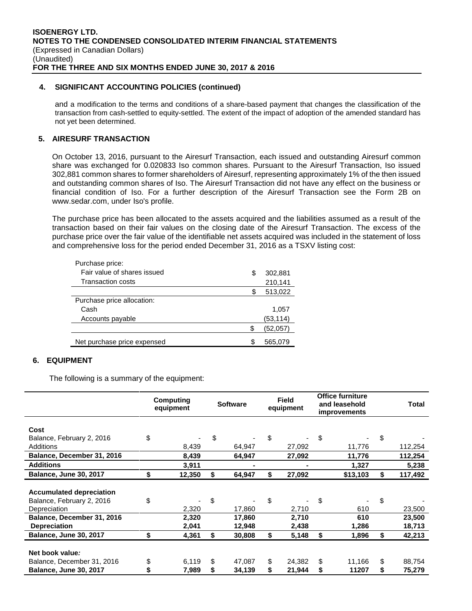#### **4. SIGNIFICANT ACCOUNTING POLICIES (continued)**

and a modification to the terms and conditions of a share-based payment that changes the classification of the transaction from cash-settled to equity-settled. The extent of the impact of adoption of the amended standard has not yet been determined.

## **5. AIRESURF TRANSACTION**

On October 13, 2016, pursuant to the Airesurf Transaction, each issued and outstanding Airesurf common share was exchanged for 0.020833 Iso common shares. Pursuant to the Airesurf Transaction, Iso issued 302,881 common shares to former shareholders of Airesurf, representing approximately 1% of the then issued and outstanding common shares of Iso. The Airesurf Transaction did not have any effect on the business or financial condition of Iso. For a further description of the Airesurf Transaction see the Form 2B on www.sedar.com, under Iso's profile.

The purchase price has been allocated to the assets acquired and the liabilities assumed as a result of the transaction based on their fair values on the closing date of the Airesurf Transaction. The excess of the purchase price over the fair value of the identifiable net assets acquired was included in the statement of loss and comprehensive loss for the period ended December 31, 2016 as a TSXV listing cost:

| Purchase price:             |     |          |
|-----------------------------|-----|----------|
| Fair value of shares issued | S   | 302,881  |
| Transaction costs           |     | 210,141  |
|                             |     | 513,022  |
| Purchase price allocation:  |     |          |
| Cash                        |     | 1,057    |
| Accounts payable            |     | (53,114) |
|                             | S   | (52,057) |
| Net purchase price expensed | \$. | 565,079  |

# **6. EQUIPMENT**

The following is a summary of the equipment:

|                                                              | Computing<br>equipment |    | <b>Software</b> |    | <b>Field</b><br>equipment | <b>Office furniture</b><br>and leasehold<br><i>improvements</i> | Total         |
|--------------------------------------------------------------|------------------------|----|-----------------|----|---------------------------|-----------------------------------------------------------------|---------------|
| Cost                                                         |                        |    |                 |    |                           |                                                                 |               |
| Balance, February 2, 2016                                    | \$                     | \$ |                 | \$ |                           | \$                                                              | \$            |
| Additions                                                    | 8,439                  |    | 64,947          |    | 27,092                    | 11,776                                                          | 112,254       |
| Balance, December 31, 2016                                   | 8,439                  |    | 64,947          |    | 27,092                    | 11,776                                                          | 112,254       |
| <b>Additions</b>                                             | 3,911                  |    |                 |    |                           | 1,327                                                           | 5,238         |
| <b>Balance, June 30, 2017</b>                                | \$<br>12,350           | S  | 64,947          | S  | 27,092                    | \$13,103                                                        | \$<br>117,492 |
| <b>Accumulated depreciation</b><br>Balance, February 2, 2016 | \$                     | \$ |                 | \$ |                           | \$                                                              | \$            |
| Depreciation                                                 | 2,320                  |    | 17,860          |    | 2,710                     | 610                                                             | 23,500        |
| Balance, December 31, 2016                                   | 2,320                  |    | 17,860          |    | 2,710                     | 610                                                             | 23,500        |
| <b>Depreciation</b>                                          | 2,041                  |    | 12,948          |    | 2,438                     | 1,286                                                           | 18,713        |
| Balance, June 30, 2017                                       | \$<br>4,361            | S  | 30,808          | \$ | 5,148                     | \$<br>1,896                                                     | \$<br>42,213  |
| Net book value:                                              |                        |    |                 |    |                           |                                                                 |               |
| Balance, December 31, 2016                                   | \$<br>6,119            | \$ | 47,087          | \$ | 24.382                    | \$<br>11,166                                                    | \$<br>88,754  |
| <b>Balance, June 30, 2017</b>                                | 7,989                  | S  | 34,139          |    | 21,944                    | \$<br>11207                                                     | \$<br>75,279  |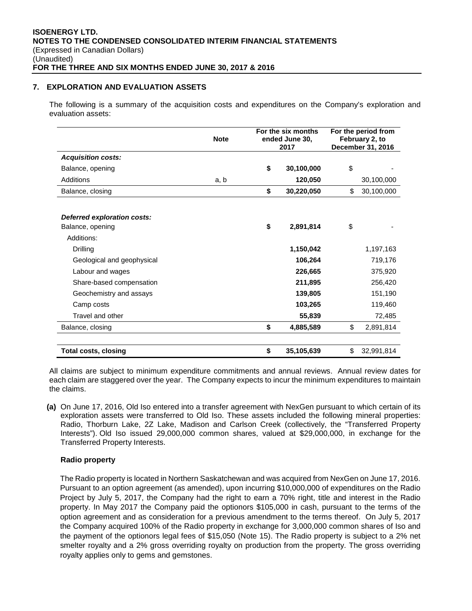## **7. EXPLORATION AND EVALUATION ASSETS**

The following is a summary of the acquisition costs and expenditures on the Company's exploration and evaluation assets:

|                             | <b>Note</b> | For the six months<br>ended June 30,<br>2017 |            | For the period from<br>February 2, to<br>December 31, 2016 |            |  |
|-----------------------------|-------------|----------------------------------------------|------------|------------------------------------------------------------|------------|--|
| <b>Acquisition costs:</b>   |             |                                              |            |                                                            |            |  |
| Balance, opening            |             | \$                                           | 30,100,000 | \$                                                         |            |  |
| Additions                   | a, b        |                                              | 120,050    |                                                            | 30,100,000 |  |
| Balance, closing            |             | \$                                           | 30,220,050 | \$                                                         | 30,100,000 |  |
| Deferred exploration costs: |             |                                              |            |                                                            |            |  |
| Balance, opening            |             | \$                                           | 2,891,814  | \$                                                         |            |  |
| Additions:                  |             |                                              |            |                                                            |            |  |
| Drilling                    |             |                                              | 1,150,042  |                                                            | 1,197,163  |  |
| Geological and geophysical  |             |                                              | 106,264    |                                                            | 719,176    |  |
| Labour and wages            |             |                                              | 226,665    |                                                            | 375,920    |  |
| Share-based compensation    |             |                                              | 211,895    |                                                            | 256,420    |  |
| Geochemistry and assays     |             |                                              | 139,805    |                                                            | 151,190    |  |
| Camp costs                  |             |                                              | 103,265    |                                                            | 119,460    |  |
| Travel and other            |             |                                              | 55,839     |                                                            | 72,485     |  |
| Balance, closing            |             | \$                                           | 4,885,589  | \$                                                         | 2,891,814  |  |
| <b>Total costs, closing</b> |             | \$                                           | 35,105,639 | \$                                                         | 32,991,814 |  |

All claims are subject to minimum expenditure commitments and annual reviews. Annual review dates for each claim are staggered over the year. The Company expects to incur the minimum expenditures to maintain the claims.

**(a)** On June 17, 2016, Old Iso entered into a transfer agreement with NexGen pursuant to which certain of its exploration assets were transferred to Old Iso. These assets included the following mineral properties: Radio, Thorburn Lake, 2Z Lake, Madison and Carlson Creek (collectively, the "Transferred Property Interests"). Old Iso issued 29,000,000 common shares, valued at \$29,000,000, in exchange for the Transferred Property Interests.

# **Radio property**

The Radio property is located in Northern Saskatchewan and was acquired from NexGen on June 17, 2016. Pursuant to an option agreement (as amended), upon incurring \$10,000,000 of expenditures on the Radio Project by July 5, 2017, the Company had the right to earn a 70% right, title and interest in the Radio property. In May 2017 the Company paid the optionors \$105,000 in cash, pursuant to the terms of the option agreement and as consideration for a previous amendment to the terms thereof. On July 5, 2017 the Company acquired 100% of the Radio property in exchange for 3,000,000 common shares of Iso and the payment of the optionors legal fees of \$15,050 (Note 15). The Radio property is subject to a 2% net smelter royalty and a 2% gross overriding royalty on production from the property. The gross overriding royalty applies only to gems and gemstones.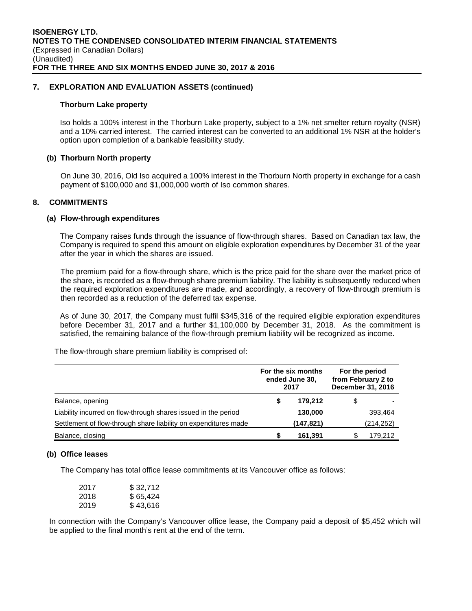#### **7. EXPLORATION AND EVALUATION ASSETS (continued)**

#### **Thorburn Lake property**

Iso holds a 100% interest in the Thorburn Lake property, subject to a 1% net smelter return royalty (NSR) and a 10% carried interest. The carried interest can be converted to an additional 1% NSR at the holder's option upon completion of a bankable feasibility study.

#### **(b) Thorburn North property**

On June 30, 2016, Old Iso acquired a 100% interest in the Thorburn North property in exchange for a cash payment of \$100,000 and \$1,000,000 worth of Iso common shares.

#### **8. COMMITMENTS**

#### **(a) Flow-through expenditures**

The Company raises funds through the issuance of flow-through shares. Based on Canadian tax law, the Company is required to spend this amount on eligible exploration expenditures by December 31 of the year after the year in which the shares are issued.

The premium paid for a flow-through share, which is the price paid for the share over the market price of the share, is recorded as a flow-through share premium liability. The liability is subsequently reduced when the required exploration expenditures are made, and accordingly, a recovery of flow-through premium is then recorded as a reduction of the deferred tax expense.

As of June 30, 2017, the Company must fulfil \$345,316 of the required eligible exploration expenditures before December 31, 2017 and a further \$1,100,000 by December 31, 2018. As the commitment is satisfied, the remaining balance of the flow-through premium liability will be recognized as income.

The flow-through share premium liability is comprised of:

|                                                                 |   | For the six months<br>ended June 30,<br>2017 | For the period<br>from February 2 to<br>December 31, 2016 |
|-----------------------------------------------------------------|---|----------------------------------------------|-----------------------------------------------------------|
| Balance, opening                                                | S | 179.212                                      | \$                                                        |
| Liability incurred on flow-through shares issued in the period  |   | 130,000                                      | 393,464                                                   |
| Settlement of flow-through share liability on expenditures made |   | (147, 821)                                   | (214,252)                                                 |
| Balance, closing                                                | S | 161.391                                      | 179.212                                                   |

#### **(b) Office leases**

The Company has total office lease commitments at its Vancouver office as follows:

| 2017 | \$32,712 |
|------|----------|
| 2018 | \$65.424 |
| 2019 | \$43,616 |

In connection with the Company's Vancouver office lease, the Company paid a deposit of \$5,452 which will be applied to the final month's rent at the end of the term.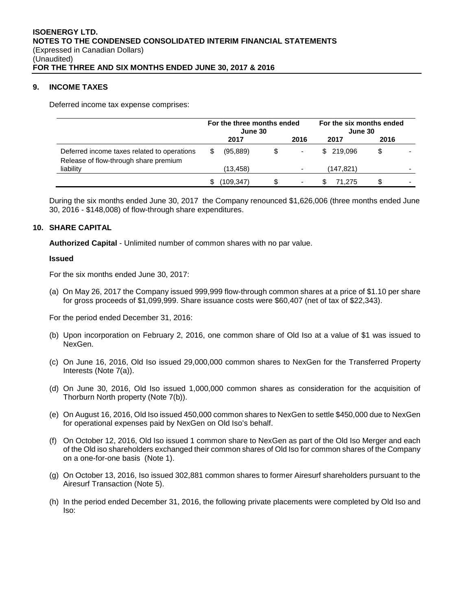#### **9. INCOME TAXES**

Deferred income tax expense comprises:

|                                                                                      | For the three months ended<br>June 30 |            |    |      | For the six months ended<br>June 30 |      |  |
|--------------------------------------------------------------------------------------|---------------------------------------|------------|----|------|-------------------------------------|------|--|
|                                                                                      |                                       | 2017       |    | 2016 | 2017                                | 2016 |  |
| Deferred income taxes related to operations<br>Release of flow-through share premium | S                                     | (95, 889)  | \$ |      | \$ 219,096                          | S    |  |
| liability                                                                            |                                       | (13, 458)  |    |      | (147,821)                           |      |  |
|                                                                                      | \$.                                   | (109, 347) |    | ٠    | 71.275                              |      |  |

During the six months ended June 30, 2017 the Company renounced \$1,626,006 (three months ended June 30, 2016 - \$148,008) of flow-through share expenditures.

#### **10. SHARE CAPITAL**

**Authorized Capital** - Unlimited number of common shares with no par value.

#### **Issued**

For the six months ended June 30, 2017:

(a) On May 26, 2017 the Company issued 999,999 flow-through common shares at a price of \$1.10 per share for gross proceeds of \$1,099,999. Share issuance costs were \$60,407 (net of tax of \$22,343).

For the period ended December 31, 2016:

- (b) Upon incorporation on February 2, 2016, one common share of Old Iso at a value of \$1 was issued to NexGen.
- (c) On June 16, 2016, Old Iso issued 29,000,000 common shares to NexGen for the Transferred Property Interests (Note 7(a)).
- (d) On June 30, 2016, Old Iso issued 1,000,000 common shares as consideration for the acquisition of Thorburn North property (Note 7(b)).
- (e) On August 16, 2016, Old Iso issued 450,000 common shares to NexGen to settle \$450,000 due to NexGen for operational expenses paid by NexGen on Old Iso's behalf.
- (f) On October 12, 2016, Old Iso issued 1 common share to NexGen as part of the Old Iso Merger and each of the Old iso shareholders exchanged their common shares of Old Iso for common shares of the Company on a one-for-one basis (Note 1).
- (g) On October 13, 2016, Iso issued 302,881 common shares to former Airesurf shareholders pursuant to the Airesurf Transaction (Note 5).
- (h) In the period ended December 31, 2016, the following private placements were completed by Old Iso and Iso: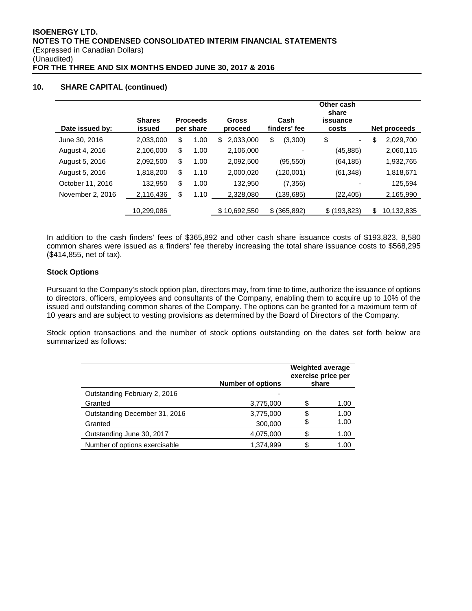# **10. SHARE CAPITAL (continued)**

| Date issued by:  | <b>Shares</b><br>issued | <b>Proceeds</b><br>per share | <b>Gross</b><br>proceed | Cash<br>finders' fee | Other cash<br>share<br>issuance<br>costs | Net proceeds     |
|------------------|-------------------------|------------------------------|-------------------------|----------------------|------------------------------------------|------------------|
| June 30, 2016    | 2,033,000               | \$<br>1.00                   | 2,033,000<br>\$         | \$<br>(3,300)        | \$<br>۰                                  | \$<br>2,029,700  |
| August 4, 2016   | 2,106,000               | \$<br>1.00                   | 2,106,000               | -                    | (45, 885)                                | 2,060,115        |
| August 5, 2016   | 2,092,500               | \$<br>1.00                   | 2,092,500               | (95, 550)            | (64, 185)                                | 1,932,765        |
| August 5, 2016   | 1,818,200               | \$<br>1.10                   | 2,000,020               | (120,001)            | (61, 348)                                | 1,818,671        |
| October 11, 2016 | 132,950                 | \$<br>1.00                   | 132.950                 | (7, 356)             |                                          | 125,594          |
| November 2, 2016 | 2,116,436               | \$<br>1.10                   | 2,328,080               | (139, 685)           | (22, 405)                                | 2,165,990        |
|                  | 10,299,086              |                              | \$10,692,550            | \$ (365,892)         | \$(193, 823)                             | \$<br>10,132,835 |

In addition to the cash finders' fees of \$365,892 and other cash share issuance costs of \$193,823, 8,580 common shares were issued as a finders' fee thereby increasing the total share issuance costs to \$568,295 (\$414,855, net of tax).

# **Stock Options**

Pursuant to the Company's stock option plan, directors may, from time to time, authorize the issuance of options to directors, officers, employees and consultants of the Company, enabling them to acquire up to 10% of the issued and outstanding common shares of the Company. The options can be granted for a maximum term of 10 years and are subject to vesting provisions as determined by the Board of Directors of the Company.

Stock option transactions and the number of stock options outstanding on the dates set forth below are summarized as follows:

|                               | <b>Number of options</b> | <b>Weighted average</b><br>exercise price per<br>share |      |
|-------------------------------|--------------------------|--------------------------------------------------------|------|
| Outstanding February 2, 2016  |                          |                                                        |      |
| Granted                       | 3,775,000                | ዳ                                                      | 1.00 |
| Outstanding December 31, 2016 | 3,775,000                | S                                                      | 1.00 |
| Granted                       | 300,000                  | \$                                                     | 1.00 |
| Outstanding June 30, 2017     | 4,075,000                |                                                        | 1.00 |
| Number of options exercisable | 1.374.999                |                                                        | 1.00 |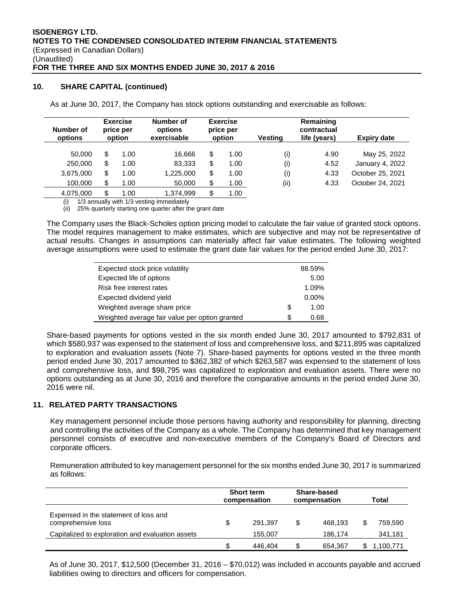#### **10. SHARE CAPITAL (continued)**

As at June 30, 2017, the Company has stock options outstanding and exercisable as follows:

| Number of<br>options | <b>Exercise</b><br>price per<br>option |      | Number of<br>options<br>exercisable | <b>Exercise</b><br>price per<br>option |      | <b>Vesting</b> | Remaining<br>contractual<br>life (years) | <b>Expiry date</b> |  |
|----------------------|----------------------------------------|------|-------------------------------------|----------------------------------------|------|----------------|------------------------------------------|--------------------|--|
| 50,000               | S                                      | 1.00 | 16.666                              | \$                                     | 1.00 | (i)            | 4.90                                     | May 25, 2022       |  |
| 250,000              | \$                                     | 1.00 | 83.333                              | \$                                     | 1.00 | (i)            | 4.52                                     | January 4, 2022    |  |
| 3,675,000            | \$                                     | 1.00 | 1,225,000                           | \$                                     | 1.00 | (i)            | 4.33                                     | October 25, 2021   |  |
| 100,000              | S                                      | 1.00 | 50,000                              | \$                                     | 1.00 | (i)            | 4.33                                     | October 24, 2021   |  |
| 4,075,000            |                                        | 1.00 | 1.374.999                           | \$                                     | 1.00 |                |                                          |                    |  |

1/3 annually with 1/3 vesting immediately

(ii) 25% quarterly starting one quarter after the grant date

The Company uses the Black-Scholes option pricing model to calculate the fair value of granted stock options. The model requires management to make estimates, which are subjective and may not be representative of actual results. Changes in assumptions can materially affect fair value estimates. The following weighted average assumptions were used to estimate the grant date fair values for the period ended June 30, 2017:

| Expected stock price volatility                |    | 88.59%   |
|------------------------------------------------|----|----------|
| Expected life of options                       |    | 5.00     |
| Risk free interest rates                       |    | 1.09%    |
| Expected dividend yield                        |    | $0.00\%$ |
| Weighted average share price                   | \$ | 1.00     |
| Weighted average fair value per option granted | S  | 0.68     |

Share-based payments for options vested in the six month ended June 30, 2017 amounted to \$792,831 of which \$580,937 was expensed to the statement of loss and comprehensive loss, and \$211,895 was capitalized to exploration and evaluation assets (Note 7). Share-based payments for options vested in the three month period ended June 30, 2017 amounted to \$362,382 of which \$263,587 was expensed to the statement of loss and comprehensive loss, and \$98,795 was capitalized to exploration and evaluation assets. There were no options outstanding as at June 30, 2016 and therefore the comparative amounts in the period ended June 30, 2016 were nil.

# **11. RELATED PARTY TRANSACTIONS**

Key management personnel include those persons having authority and responsibility for planning, directing and controlling the activities of the Company as a whole. The Company has determined that key management personnel consists of executive and non-executive members of the Company's Board of Directors and corporate officers.

Remuneration attributed to key management personnel for the six months ended June 30, 2017 is summarized as follows:

|                                                             | <b>Short term</b><br>compensation | Share-based<br>compensation |         | Total |           |
|-------------------------------------------------------------|-----------------------------------|-----------------------------|---------|-------|-----------|
| Expensed in the statement of loss and<br>comprehensive loss | 291.397                           | S                           | 468.193 |       | 759.590   |
| Capitalized to exploration and evaluation assets            | 155.007                           |                             | 186,174 |       | 341,181   |
|                                                             | 446.404                           |                             | 654.367 |       | 1,100,771 |

As of June 30, 2017, \$12,500 (December 31, 2016 – \$70,012) was included in accounts payable and accrued liabilities owing to directors and officers for compensation.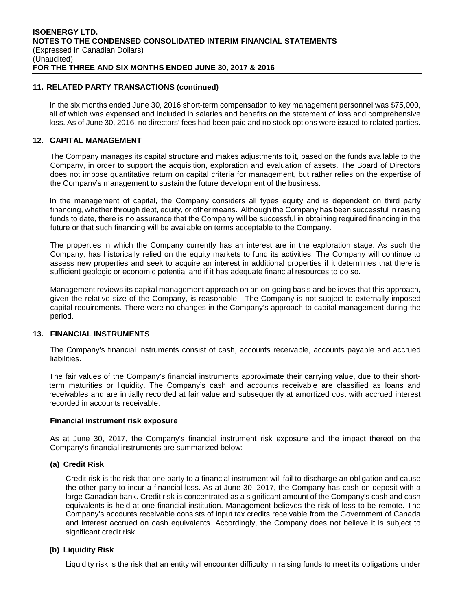#### **11. RELATED PARTY TRANSACTIONS (continued)**

In the six months ended June 30, 2016 short-term compensation to key management personnel was \$75,000, all of which was expensed and included in salaries and benefits on the statement of loss and comprehensive loss. As of June 30, 2016, no directors' fees had been paid and no stock options were issued to related parties.

#### **12. CAPITAL MANAGEMENT**

The Company manages its capital structure and makes adjustments to it, based on the funds available to the Company, in order to support the acquisition, exploration and evaluation of assets. The Board of Directors does not impose quantitative return on capital criteria for management, but rather relies on the expertise of the Company's management to sustain the future development of the business.

 In the management of capital, the Company considers all types equity and is dependent on third party financing, whether through debt, equity, or other means. Although the Company has been successful in raising funds to date, there is no assurance that the Company will be successful in obtaining required financing in the future or that such financing will be available on terms acceptable to the Company.

The properties in which the Company currently has an interest are in the exploration stage. As such the Company, has historically relied on the equity markets to fund its activities. The Company will continue to assess new properties and seek to acquire an interest in additional properties if it determines that there is sufficient geologic or economic potential and if it has adequate financial resources to do so.

Management reviews its capital management approach on an on-going basis and believes that this approach, given the relative size of the Company, is reasonable. The Company is not subject to externally imposed capital requirements. There were no changes in the Company's approach to capital management during the period.

#### **13. FINANCIAL INSTRUMENTS**

The Company's financial instruments consist of cash, accounts receivable, accounts payable and accrued liabilities.

The fair values of the Company's financial instruments approximate their carrying value, due to their shortterm maturities or liquidity. The Company's cash and accounts receivable are classified as loans and receivables and are initially recorded at fair value and subsequently at amortized cost with accrued interest recorded in accounts receivable.

#### **Financial instrument risk exposure**

As at June 30, 2017, the Company's financial instrument risk exposure and the impact thereof on the Company's financial instruments are summarized below:

#### **(a) Credit Risk**

Credit risk is the risk that one party to a financial instrument will fail to discharge an obligation and cause the other party to incur a financial loss. As at June 30, 2017, the Company has cash on deposit with a large Canadian bank. Credit risk is concentrated as a significant amount of the Company's cash and cash equivalents is held at one financial institution. Management believes the risk of loss to be remote. The Company's accounts receivable consists of input tax credits receivable from the Government of Canada and interest accrued on cash equivalents. Accordingly, the Company does not believe it is subject to significant credit risk.

#### **(b) Liquidity Risk**

Liquidity risk is the risk that an entity will encounter difficulty in raising funds to meet its obligations under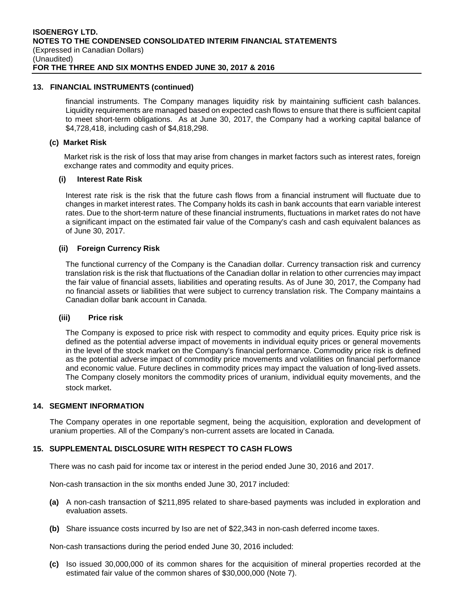#### **13. FINANCIAL INSTRUMENTS (continued)**

financial instruments. The Company manages liquidity risk by maintaining sufficient cash balances. Liquidity requirements are managed based on expected cash flows to ensure that there is sufficient capital to meet short-term obligations. As at June 30, 2017, the Company had a working capital balance of \$4,728,418, including cash of \$4,818,298.

#### **(c) Market Risk**

Market risk is the risk of loss that may arise from changes in market factors such as interest rates, foreign exchange rates and commodity and equity prices.

#### **(i) Interest Rate Risk**

Interest rate risk is the risk that the future cash flows from a financial instrument will fluctuate due to changes in market interest rates. The Company holds its cash in bank accounts that earn variable interest rates. Due to the short-term nature of these financial instruments, fluctuations in market rates do not have a significant impact on the estimated fair value of the Company's cash and cash equivalent balances as of June 30, 2017.

## **(ii) Foreign Currency Risk**

The functional currency of the Company is the Canadian dollar. Currency transaction risk and currency translation risk is the risk that fluctuations of the Canadian dollar in relation to other currencies may impact the fair value of financial assets, liabilities and operating results. As of June 30, 2017, the Company had no financial assets or liabilities that were subject to currency translation risk. The Company maintains a Canadian dollar bank account in Canada.

#### **(iii) Price risk**

The Company is exposed to price risk with respect to commodity and equity prices. Equity price risk is defined as the potential adverse impact of movements in individual equity prices or general movements in the level of the stock market on the Company's financial performance. Commodity price risk is defined as the potential adverse impact of commodity price movements and volatilities on financial performance and economic value. Future declines in commodity prices may impact the valuation of long-lived assets. The Company closely monitors the commodity prices of uranium, individual equity movements, and the stock market.

#### **14. SEGMENT INFORMATION**

The Company operates in one reportable segment, being the acquisition, exploration and development of uranium properties. All of the Company's non-current assets are located in Canada.

#### **15. SUPPLEMENTAL DISCLOSURE WITH RESPECT TO CASH FLOWS**

There was no cash paid for income tax or interest in the period ended June 30, 2016 and 2017.

Non-cash transaction in the six months ended June 30, 2017 included:

- **(a)** A non-cash transaction of \$211,895 related to share-based payments was included in exploration and evaluation assets.
- **(b)** Share issuance costs incurred by Iso are net of \$22,343 in non-cash deferred income taxes.

Non-cash transactions during the period ended June 30, 2016 included:

**(c)** Iso issued 30,000,000 of its common shares for the acquisition of mineral properties recorded at the estimated fair value of the common shares of \$30,000,000 (Note 7).